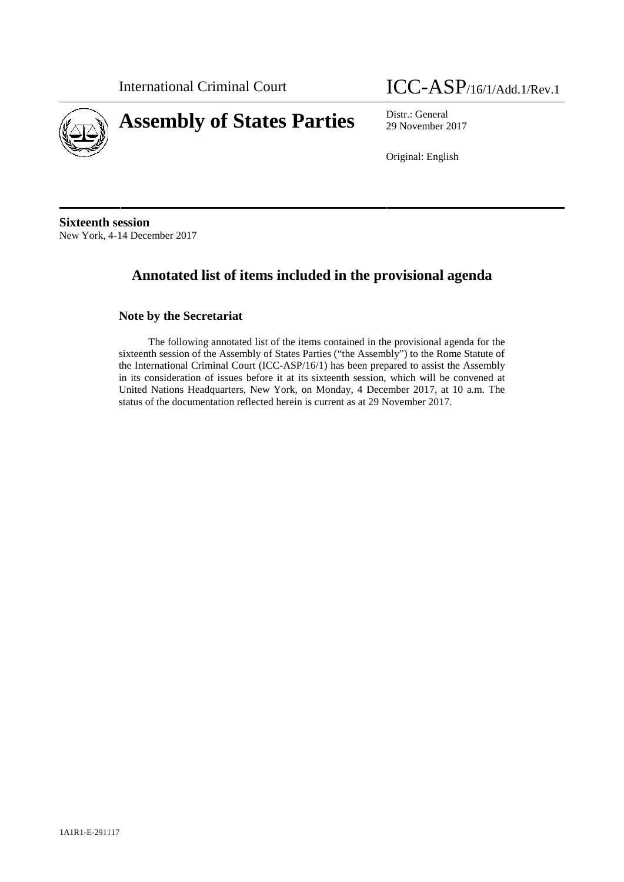

International Criminal Court ICC-ASP/16/1/Add.1/Rev.1

29 November 2017

Original: English

**Sixteenth session** New York, 4-14 December 2017

# **Annotated list of items included in the provisional agenda**

# **Note by the Secretariat**

The following annotated list of the items contained in the provisional agenda for the sixteenth session of the Assembly of States Parties ("the Assembly") to the Rome Statute of the International Criminal Court (ICC-ASP/16/1) has been prepared to assist the Assembly in its consideration of issues before it at its sixteenth session, which will be convened at United Nations Headquarters, New York, on Monday, 4 December 2017, at 10 a.m. The status of the documentation reflected herein is current as at 29 November 2017.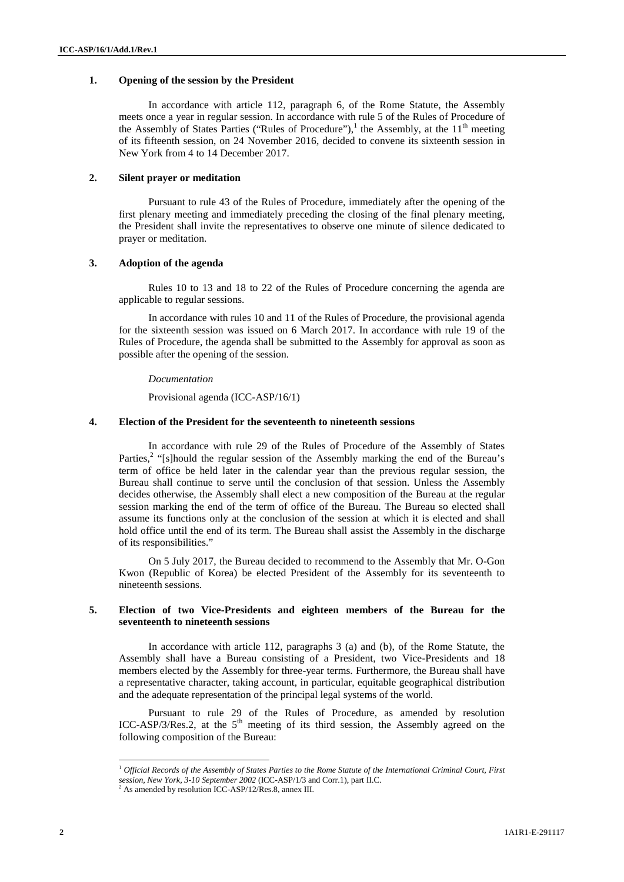# **1. Opening of the session by the President**

In accordance with article 112, paragraph 6, of the Rome Statute, the Assembly meets once a year in regular session. In accordance with rule 5 of the Rules of Procedure of the Assembly of States Parties ("Rules of Procedure"),<sup>1</sup> the Assembly, at the  $11<sup>th</sup>$  meeting of its fifteenth session, on 24 November 2016, decided to convene its sixteenth session in New York from 4 to 14 December 2017.

# **2. Silent prayer or meditation**

Pursuant to rule 43 of the Rules of Procedure, immediately after the opening of the first plenary meeting and immediately preceding the closing of the final plenary meeting, the President shall invite the representatives to observe one minute of silence dedicated to prayer or meditation.

## **3. Adoption of the agenda**

Rules 10 to 13 and 18 to 22 of the Rules of Procedure concerning the agenda are applicable to regular sessions.

In accordance with rules 10 and 11 of the Rules of Procedure, the provisional agenda for the sixteenth session was issued on 6 March 2017. In accordance with rule 19 of the Rules of Procedure, the agenda shall be submitted to the Assembly for approval as soon as possible after the opening of the session.

#### *Documentation*

Provisional agenda (ICC-ASP/16/1)

#### **4. Election of the President for the seventeenth to nineteenth sessions**

In accordance with rule 29 of the Rules of Procedure of the Assembly of States Parties,<sup>2</sup> "[s]hould the regular session of the Assembly marking the end of the Bureau's term of office be held later in the calendar year than the previous regular session, the Bureau shall continue to serve until the conclusion of that session. Unless the Assembly decides otherwise, the Assembly shall elect a new composition of the Bureau at the regular session marking the end of the term of office of the Bureau. The Bureau so elected shall assume its functions only at the conclusion of the session at which it is elected and shall hold office until the end of its term. The Bureau shall assist the Assembly in the discharge of its responsibilities."

On 5 July 2017, the Bureau decided to recommend to the Assembly that Mr. O-Gon Kwon (Republic of Korea) be elected President of the Assembly for its seventeenth to nineteenth sessions.

## **5. Election of two Vice-Presidents and eighteen members of the Bureau for the seventeenth to nineteenth sessions**

In accordance with article 112, paragraphs 3 (a) and (b), of the Rome Statute, the Assembly shall have a Bureau consisting of a President, two Vice-Presidents and 18 members elected by the Assembly for three-year terms. Furthermore, the Bureau shall have a representative character, taking account, in particular, equitable geographical distribution and the adequate representation of the principal legal systems of the world.

Pursuant to rule 29 of the Rules of Procedure, as amended by resolution ICC-ASP/3/Res.2, at the  $5<sup>th</sup>$  meeting of its third session, the Assembly agreed on the following composition of the Bureau:

<sup>1</sup> *Official Records of the Assembly of States Parties to the Rome Statute of the International Criminal Court, First session, New York, 3-10 September 2002* (ICC-ASP/1/3 and Corr.1), part II.C.

 $^{2}$  As amended by resolution ICC-ASP/12/Res.8, annex III.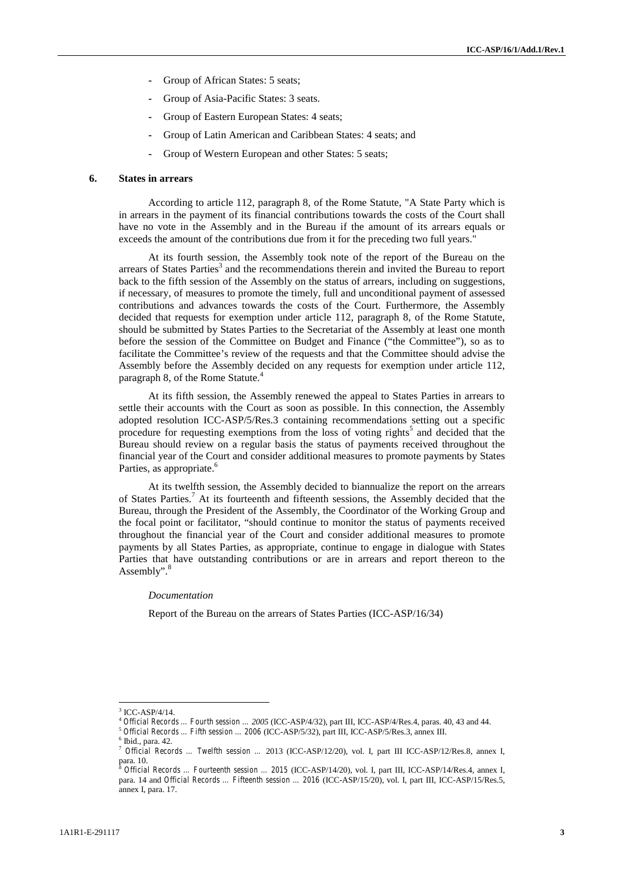- **-** Group of African States: 5 seats;
- **-** Group of Asia-Pacific States: 3 seats.
- **-** Group of Eastern European States: 4 seats;
- **-** Group of Latin American and Caribbean States: 4 seats; and
- **-** Group of Western European and other States: 5 seats;

#### **6. States in arrears**

According to article 112, paragraph 8, of the Rome Statute, "A State Party which is in arrears in the payment of its financial contributions towards the costs of the Court shall have no vote in the Assembly and in the Bureau if the amount of its arrears equals or exceeds the amount of the contributions due from it for the preceding two full years."

At its fourth session, the Assembly took note of the report of the Bureau on the arrears of States Parties<sup>3</sup> and the recommendations therein and invited the Bureau to report back to the fifth session of the Assembly on the status of arrears, including on suggestions, if necessary, of measures to promote the timely, full and unconditional payment of assessed contributions and advances towards the costs of the Court. Furthermore, the Assembly decided that requests for exemption under article 112, paragraph 8, of the Rome Statute, should be submitted by States Parties to the Secretariat of the Assembly at least one month before the session of the Committee on Budget and Finance ("the Committee"), so as to facilitate the Committee's review of the requests and that the Committee should advise the Assembly before the Assembly decided on any requests for exemption under article 112, paragraph 8, of the Rome Statute.<sup>4</sup>

At its fifth session, the Assembly renewed the appeal to States Parties in arrears to settle their accounts with the Court as soon as possible. In this connection, the Assembly adopted resolution ICC-ASP/5/Res.3 containing recommendations setting out a specific procedure for requesting exemptions from the loss of voting rights<sup>5</sup> and decided that the Bureau should review on a regular basis the status of payments received throughout the financial year of the Court and consider additional measures to promote payments by States Parties, as appropriate.<sup>6</sup>

At its twelfth session, the Assembly decided to biannualize the report on the arrears of States Parties.<sup>7</sup> At its fourteenth and fifteenth sessions, the Assembly decided that the Bureau, through the President of the Assembly, the Coordinator of the Working Group and the focal point or facilitator, "should continue to monitor the status of payments received throughout the financial year of the Court and consider additional measures to promote payments by all States Parties, as appropriate, continue to engage in dialogue with States Parties that have outstanding contributions or are in arrears and report thereon to the Assembly".<sup>8</sup>

#### *Documentation*

Report of the Bureau on the arrears of States Parties (ICC-ASP/16/34)

 $3$  ICC-ASP/4/14.

Official Records ... Fourth session ... 2005 (ICC-ASP/4/32), part III, ICC-ASP/4/Res.4, paras. 40, 43 and 44.<br>Official Records ... Fifth session ... 2006 (ICC-ASP/5/32), part III, ICC-ASP/5/Res.3, annex III.<br>Unid., para. 4

<sup>&</sup>lt;sup>7</sup> Official Records … Twelfth session … 2013 (ICC-ASP/12/20), vol. I, part III ICC-ASP/12/Res.8, annex I, part III ICC-ASP/12/Res.8, annex I, part III ICC-ASP/12/Res.8, annex I, part III ICC-ASP/12/Res.8, annex I, 8 Offic

para. 10. <sup>8</sup> *Official Records … Fourteenth session … 2015* (ICC-ASP/14/20), vol. I, part III, ICC-ASP/14/Res.4, annex I, para. 14 and *Official Records … Fifteenth session … 2016* (ICC-ASP/15/20), vol. I, part III, ICC-ASP/15/Res.5, annex I, para. 17.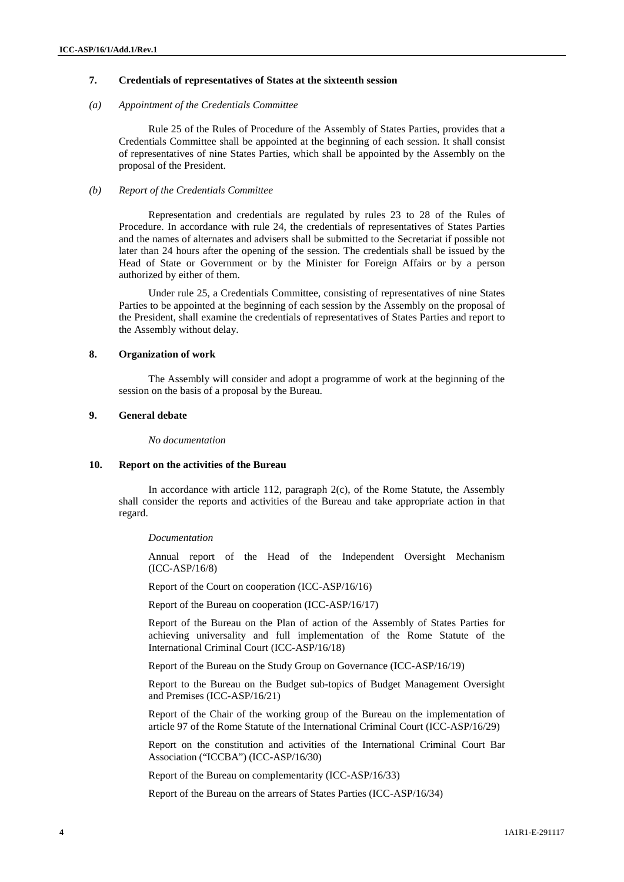# **7. Credentials of representatives of States at the sixteenth session**

#### *(a) Appointment of the Credentials Committee*

Rule 25 of the Rules of Procedure of the Assembly of States Parties, provides that a Credentials Committee shall be appointed at the beginning of each session. It shall consist of representatives of nine States Parties, which shall be appointed by the Assembly on the proposal of the President.

### *(b) Report of the Credentials Committee*

Representation and credentials are regulated by rules 23 to 28 of the Rules of Procedure. In accordance with rule 24, the credentials of representatives of States Parties and the names of alternates and advisers shall be submitted to the Secretariat if possible not later than 24 hours after the opening of the session. The credentials shall be issued by the Head of State or Government or by the Minister for Foreign Affairs or by a person authorized by either of them.

Under rule 25, a Credentials Committee, consisting of representatives of nine States Parties to be appointed at the beginning of each session by the Assembly on the proposal of the President, shall examine the credentials of representatives of States Parties and report to the Assembly without delay.

## **8. Organization of work**

The Assembly will consider and adopt a programme of work at the beginning of the session on the basis of a proposal by the Bureau.

## **9. General debate**

*No documentation*

## **10. Report on the activities of the Bureau**

In accordance with article 112, paragraph 2(c), of the Rome Statute, the Assembly shall consider the reports and activities of the Bureau and take appropriate action in that regard.

#### *Documentation*

Annual report of the Head of the Independent Oversight Mechanism (ICC-ASP/16/8)

Report of the Court on cooperation (ICC-ASP/16/16)

Report of the Bureau on cooperation (ICC-ASP/16/17)

Report of the Bureau on the Plan of action of the Assembly of States Parties for achieving universality and full implementation of the Rome Statute of the International Criminal Court (ICC-ASP/16/18)

Report of the Bureau on the Study Group on Governance (ICC-ASP/16/19)

Report to the Bureau on the Budget sub-topics of Budget Management Oversight and Premises (ICC-ASP/16/21)

Report of the Chair of the working group of the Bureau on the implementation of article 97 of the Rome Statute of the International Criminal Court (ICC-ASP/16/29)

Report on the constitution and activities of the International Criminal Court Bar Association ("ICCBA") (ICC-ASP/16/30)

Report of the Bureau on complementarity (ICC-ASP/16/33)

Report of the Bureau on the arrears of States Parties (ICC-ASP/16/34)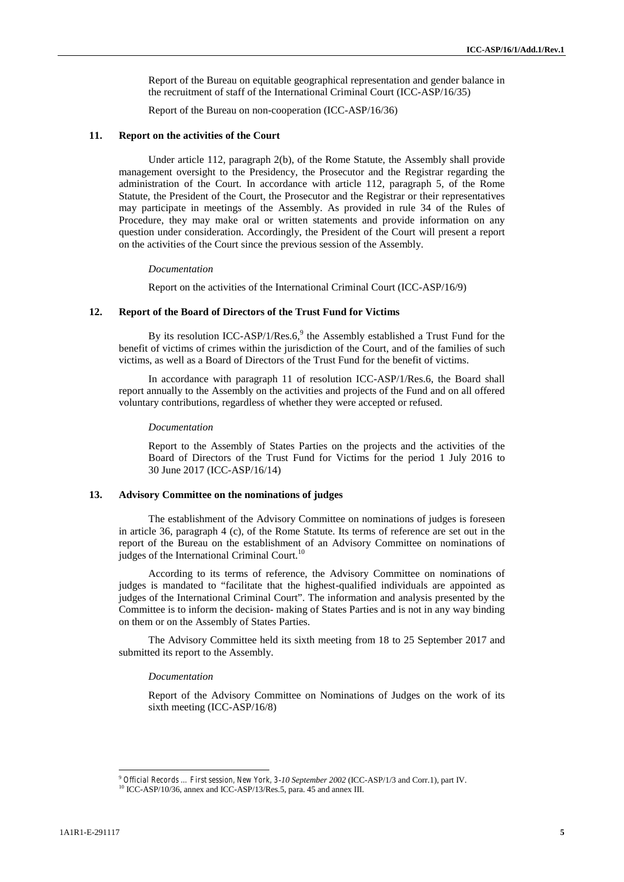Report of the Bureau on equitable geographical representation and gender balance in the recruitment of staff of the International Criminal Court (ICC-ASP/16/35)

Report of the Bureau on non-cooperation (ICC-ASP/16/36)

#### **11. Report on the activities of the Court**

Under article 112, paragraph 2(b), of the Rome Statute, the Assembly shall provide management oversight to the Presidency, the Prosecutor and the Registrar regarding the administration of the Court. In accordance with article 112, paragraph 5, of the Rome Statute, the President of the Court, the Prosecutor and the Registrar or their representatives may participate in meetings of the Assembly. As provided in rule 34 of the Rules of Procedure, they may make oral or written statements and provide information on any question under consideration. Accordingly, the President of the Court will present a report on the activities of the Court since the previous session of the Assembly.

#### *Documentation*

Report on the activities of the International Criminal Court (ICC-ASP/16/9)

## **12. Report of the Board of Directors of the Trust Fund for Victims**

By its resolution ICC-ASP/1/Res.6, $9$  the Assembly established a Trust Fund for the benefit of victims of crimes within the jurisdiction of the Court, and of the families of such victims, as well as a Board of Directors of the Trust Fund for the benefit of victims.

In accordance with paragraph 11 of resolution ICC-ASP/1/Res.6, the Board shall report annually to the Assembly on the activities and projects of the Fund and on all offered voluntary contributions, regardless of whether they were accepted or refused.

#### *Documentation*

Report to the Assembly of States Parties on the projects and the activities of the Board of Directors of the Trust Fund for Victims for the period 1 July 2016 to 30 June 2017 (ICC-ASP/16/14)

## **13. Advisory Committee on the nominations of judges**

The establishment of the Advisory Committee on nominations of judges is foreseen in article 36, paragraph 4 (c), of the Rome Statute. Its terms of reference are set out in the report of the Bureau on the establishment of an Advisory Committee on nominations of judges of the International Criminal Court.<sup>10</sup>

According to its terms of reference, the Advisory Committee on nominations of judges is mandated to "facilitate that the highest-qualified individuals are appointed as judges of the International Criminal Court". The information and analysis presented by the Committee is to inform the decision- making of States Parties and is not in any way binding on them or on the Assembly of States Parties.

The Advisory Committee held its sixth meeting from 18 to 25 September 2017 and submitted its report to the Assembly.

#### *Documentation*

Report of the Advisory Committee on Nominations of Judges on the work of its sixth meeting (ICC-ASP/16/8)

<sup>9</sup> *Official Records … First session, New York, 3-10 September 2002* (ICC-ASP/1/3 and Corr.1), part IV. <sup>10</sup> ICC-ASP/10/36, annex and ICC-ASP/13/Res.5, para. 45 and annex III.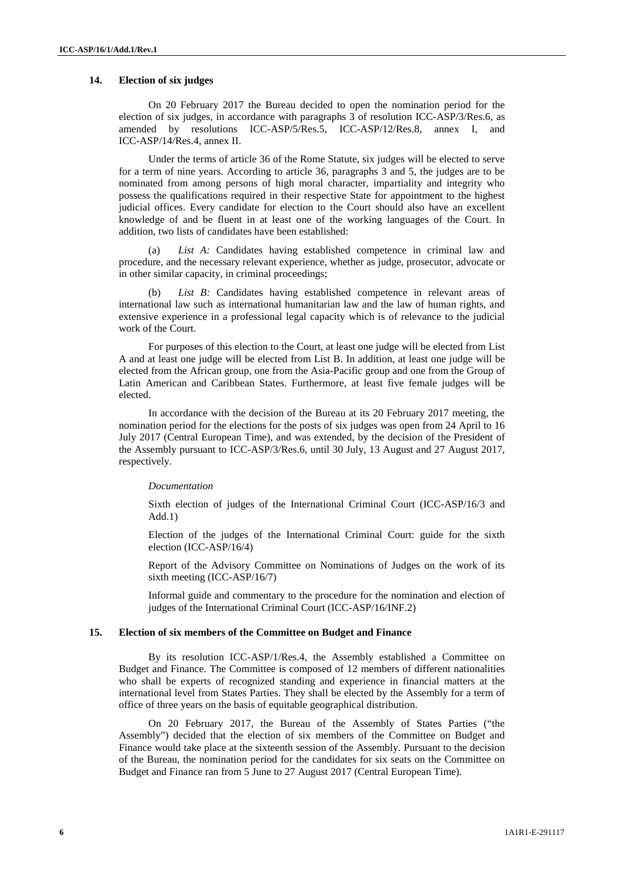# **14. Election of six judges**

On 20 February 2017 the Bureau decided to open the nomination period for the election of six judges, in accordance with paragraphs 3 of resolution ICC-ASP/3/Res.6, as amended by resolutions ICC-ASP/5/Res.5, ICC-ASP/12/Res.8, annex I, and ICC-ASP/14/Res.4, annex II.

Under the terms of article 36 of the Rome Statute, six judges will be elected to serve for a term of nine years. According to article 36, paragraphs 3 and 5, the judges are to be nominated from among persons of high moral character, impartiality and integrity who possess the qualifications required in their respective State for appointment to the highest judicial offices. Every candidate for election to the Court should also have an excellent knowledge of and be fluent in at least one of the working languages of the Court. In addition, two lists of candidates have been established:

(a) *List A:* Candidates having established competence in criminal law and procedure, and the necessary relevant experience, whether as judge, prosecutor, advocate or in other similar capacity, in criminal proceedings;

(b) *List B:* Candidates having established competence in relevant areas of international law such as international humanitarian law and the law of human rights, and extensive experience in a professional legal capacity which is of relevance to the judicial work of the Court.

For purposes of this election to the Court, at least one judge will be elected from List A and at least one judge will be elected from List B. In addition, at least one judge will be elected from the African group, one from the Asia-Pacific group and one from the Group of Latin American and Caribbean States. Furthermore, at least five female judges will be elected.

In accordance with the decision of the Bureau at its 20 February 2017 meeting, the nomination period for the elections for the posts of six judges was open from 24 April to 16 July 2017 (Central European Time), and was extended, by the decision of the President of the Assembly pursuant to ICC-ASP/3/Res.6, until 30 July, 13 August and 27 August 2017, respectively.

# *Documentation*

Sixth election of judges of the International Criminal Court (ICC-ASP/16/3 and Add.1)

Election of the judges of the International Criminal Court: guide for the sixth election (ICC-ASP/16/4)

Report of the Advisory Committee on Nominations of Judges on the work of its sixth meeting (ICC-ASP/16/7)

Informal guide and commentary to the procedure for the nomination and election of judges of the International Criminal Court (ICC-ASP/16/INF.2)

#### **15. Election of six members of the Committee on Budget and Finance**

By its resolution ICC-ASP/1/Res.4, the Assembly established a Committee on Budget and Finance. The Committee is composed of 12 members of different nationalities who shall be experts of recognized standing and experience in financial matters at the international level from States Parties. They shall be elected by the Assembly for a term of office of three years on the basis of equitable geographical distribution.

On 20 February 2017, the Bureau of the Assembly of States Parties ("the Assembly") decided that the election of six members of the Committee on Budget and Finance would take place at the sixteenth session of the Assembly. Pursuant to the decision of the Bureau, the nomination period for the candidates for six seats on the Committee on Budget and Finance ran from 5 June to 27 August 2017 (Central European Time).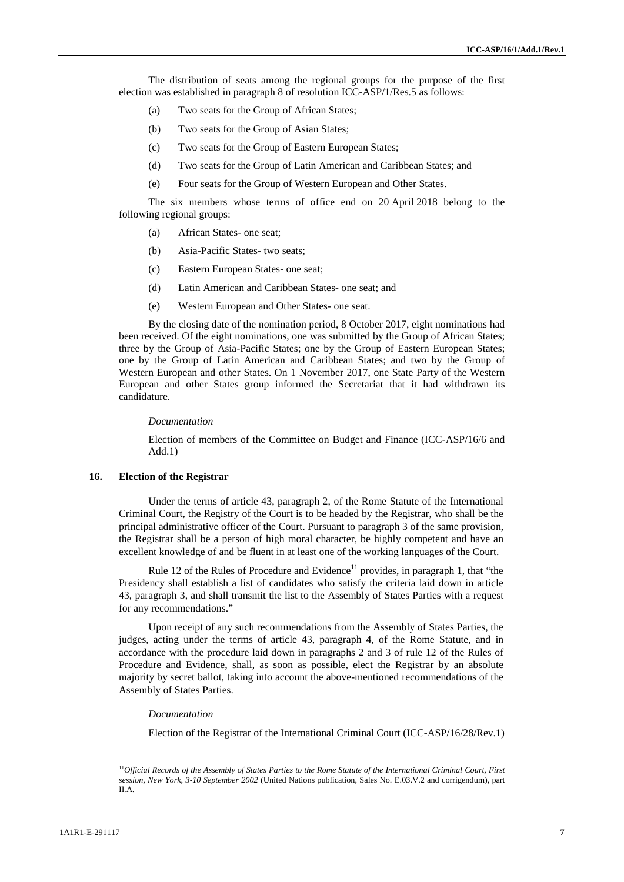The distribution of seats among the regional groups for the purpose of the first election was established in paragraph 8 of resolution ICC-ASP/1/Res.5 as follows:

- (a) Two seats for the Group of African States;
- (b) Two seats for the Group of Asian States;
- (c) Two seats for the Group of Eastern European States;
- (d) Two seats for the Group of Latin American and Caribbean States; and
- (e) Four seats for the Group of Western European and Other States.

The six members whose terms of office end on 20 April 2018 belong to the following regional groups:

- (a) African States- one seat;
- (b) Asia-Pacific States- two seats;
- (c) Eastern European States- one seat;
- (d) Latin American and Caribbean States- one seat; and
- (e) Western European and Other States- one seat.

By the closing date of the nomination period, 8 October 2017, eight nominations had been received. Of the eight nominations, one was submitted by the Group of African States; three by the Group of Asia-Pacific States; one by the Group of Eastern European States; one by the Group of Latin American and Caribbean States; and two by the Group of Western European and other States. On 1 November 2017, one State Party of the Western European and other States group informed the Secretariat that it had withdrawn its candidature.

#### *Documentation*

Election of members of the Committee on Budget and Finance (ICC-ASP/16/6 and Add.1)

# **16. Election of the Registrar**

Under the terms of article 43, paragraph 2, of the Rome Statute of the International Criminal Court, the Registry of the Court is to be headed by the Registrar, who shall be the principal administrative officer of the Court. Pursuant to paragraph 3 of the same provision, the Registrar shall be a person of high moral character, be highly competent and have an excellent knowledge of and be fluent in at least one of the working languages of the Court.

Rule 12 of the Rules of Procedure and Evidence<sup>11</sup> provides, in paragraph 1, that "the Presidency shall establish a list of candidates who satisfy the criteria laid down in article 43, paragraph 3, and shall transmit the list to the Assembly of States Parties with a request for any recommendations."

Upon receipt of any such recommendations from the Assembly of States Parties, the judges, acting under the terms of article 43, paragraph 4, of the Rome Statute, and in accordance with the procedure laid down in paragraphs 2 and 3 of rule 12 of the Rules of Procedure and Evidence, shall, as soon as possible, elect the Registrar by an absolute majority by secret ballot, taking into account the above-mentioned recommendations of the Assembly of States Parties.

#### *Documentation*

Election of the Registrar of the International Criminal Court (ICC-ASP/16/28/Rev.1)

<sup>11</sup>*Official Records of the Assembly of States Parties to the Rome Statute of the International Criminal Court, First session, New York, 3-10 September 2002* (United Nations publication, Sales No. E.03.V.2 and corrigendum), part II.A.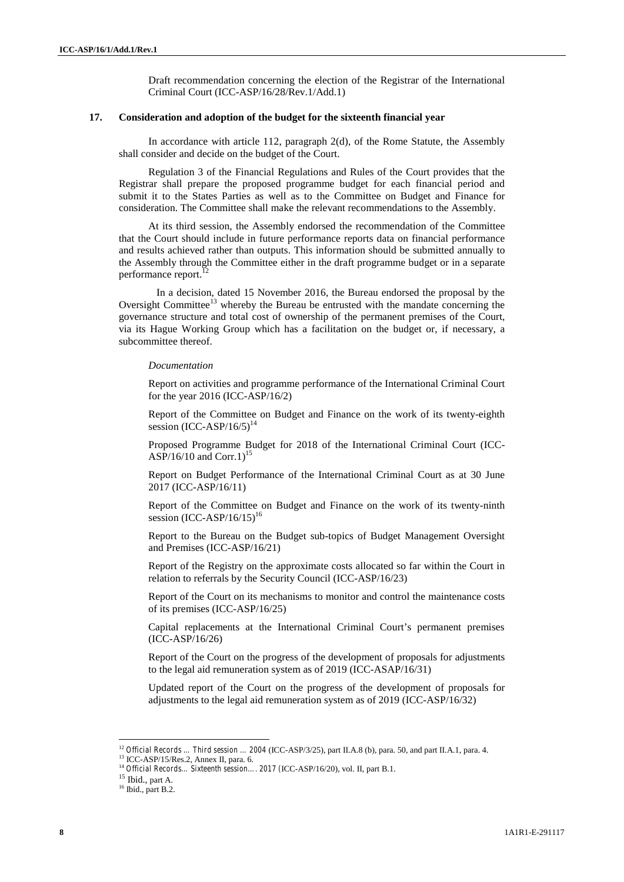Draft recommendation concerning the election of the Registrar of the International Criminal Court (ICC-ASP/16/28/Rev.1/Add.1)

#### **17. Consideration and adoption of the budget for the sixteenth financial year**

In accordance with article 112, paragraph 2(d), of the Rome Statute, the Assembly shall consider and decide on the budget of the Court.

Regulation 3 of the Financial Regulations and Rules of the Court provides that the Registrar shall prepare the proposed programme budget for each financial period and submit it to the States Parties as well as to the Committee on Budget and Finance for consideration. The Committee shall make the relevant recommendations to the Assembly.

At its third session, the Assembly endorsed the recommendation of the Committee that the Court should include in future performance reports data on financial performance and results achieved rather than outputs. This information should be submitted annually to the Assembly through the Committee either in the draft programme budget or in a separate performance report.<sup>12</sup>

In a decision, dated 15 November 2016, the Bureau endorsed the proposal by the Oversight Committee<sup>13</sup> whereby the Bureau be entrusted with the mandate concerning the governance structure and total cost of ownership of the permanent premises of the Court, via its Hague Working Group which has a facilitation on the budget or, if necessary, a subcommittee thereof.

#### *Documentation*

Report on activities and programme performance of the International Criminal Court for the year 2016 (ICC-ASP/16/2)

Report of the Committee on Budget and Finance on the work of its twenty-eighth session  $(ICC-ASP/16/5)^{14}$ 

Proposed Programme Budget for 2018 of the International Criminal Court (ICC- ASP/16/10 and Corr.1)<sup>15</sup>

Report on Budget Performance of the International Criminal Court as at 30 June 2017 (ICC-ASP/16/11)

Report of the Committee on Budget and Finance on the work of its twenty-ninth session  $(ICC-ASP/16/15)^{16}$ 

Report to the Bureau on the Budget sub-topics of Budget Management Oversight and Premises (ICC-ASP/16/21)

Report of the Registry on the approximate costs allocated so far within the Court in relation to referrals by the Security Council (ICC-ASP/16/23)

Report of the Court on its mechanisms to monitor and control the maintenance costs of its premises (ICC-ASP/16/25)

Capital replacements at the International Criminal Court's permanent premises (ICC-ASP/16/26)

Report of the Court on the progress of the development of proposals for adjustments to the legal aid remuneration system as of 2019 (ICC-ASAP/16/31)

Updated report of the Court on the progress of the development of proposals for adjustments to the legal aid remuneration system as of 2019 (ICC-ASP/16/32)

 $^{12}$  *Official Records ... Third session ... 2004* (ICC-ASP/3/25), part II.A.8 (b), para. 50, and part II.A.1, para. 4.  $^{13}$  ICC-ASP/15/Res.2, Annex II, para. 6.

<sup>14</sup> *Official Records… Sixteenth session…. 2017 (*ICC-ASP/16/20), vol. II, part B.1. <sup>15</sup> Ibid., part A. <sup>16</sup> Ibid., part B.2.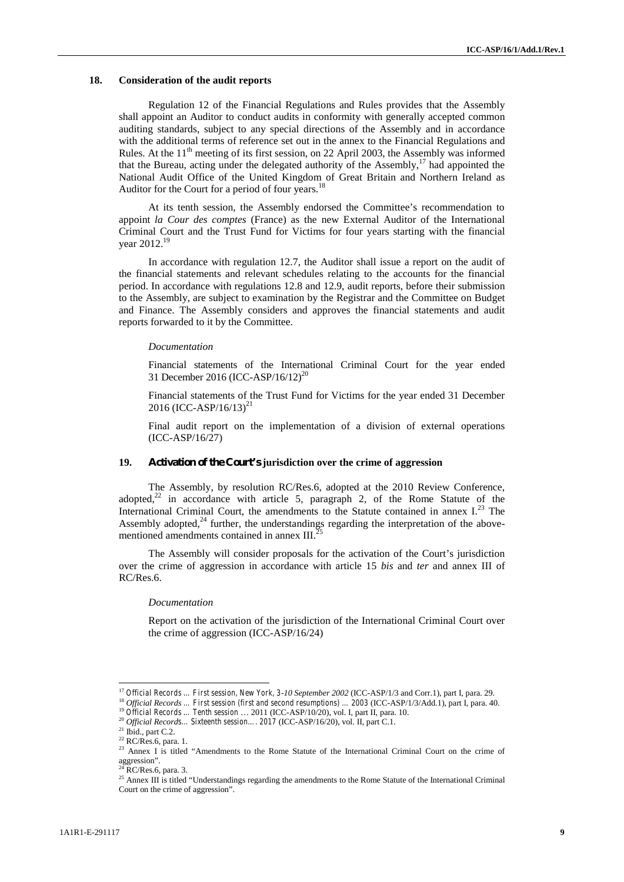### **18. Consideration of the audit reports**

Regulation 12 of the Financial Regulations and Rules provides that the Assembly shall appoint an Auditor to conduct audits in conformity with generally accepted common auditing standards, subject to any special directions of the Assembly and in accordance with the additional terms of reference set out in the annex to the Financial Regulations and Rules. At the  $11<sup>th</sup>$  meeting of its first session, on 22 April 2003, the Assembly was informed that the Bureau, acting under the delegated authority of the Assembly,<sup>17</sup> had appointed the National Audit Office of the United Kingdom of Great Britain and Northern Ireland as Auditor for the Court for a period of four years.<sup>18</sup>

At its tenth session, the Assembly endorsed the Committee's recommendation to appoint *la Cour des comptes* (France) as the new External Auditor of the International Criminal Court and the Trust Fund for Victims for four years starting with the financial year 2012.<sup>19</sup>

In accordance with regulation 12.7, the Auditor shall issue a report on the audit of the financial statements and relevant schedules relating to the accounts for the financial period. In accordance with regulations 12.8 and 12.9, audit reports, before their submission to the Assembly, are subject to examination by the Registrar and the Committee on Budget and Finance. The Assembly considers and approves the financial statements and audit reports forwarded to it by the Committee.

#### *Documentation*

Financial statements of the International Criminal Court for the year ended 31 December 2016 (ICC-ASP/16/12)<sup>20</sup>

Financial statements of the Trust Fund for Victims for the year ended 31 December 2016 (ICC-ASP/16/13)<sup>21</sup>

Final audit report on the implementation of a division of external operations (ICC-ASP/16/27)

# **19. Activation of the Court's jurisdiction over the crime of aggression**

The Assembly, by resolution RC/Res.6, adopted at the 2010 Review Conference, adopted, $22$  in accordance with article 5, paragraph 2, of the Rome Statute of the International Criminal Court, the amendments to the Statute contained in annex  $I^{23}$  The Assembly adopted,<sup>24</sup> further, the understandings regarding the interpretation of the abovementioned amendments contained in annex  $III$ .

The Assembly will consider proposals for the activation of the Court's jurisdiction over the crime of aggression in accordance with article 15 *bis* and *ter* and annex III of RC/Res.6.

### *Documentation*

Report on the activation of the jurisdiction of the International Criminal Court over the crime of aggression (ICC-ASP/16/24)

<sup>&</sup>lt;sup>17</sup> Official Records ... First session, New York, 3-10 September 2002 (ICC-ASP/1/3 and Corr.1), part I, para. 29.<br><sup>18</sup> Official Records ... First session (first and second resumptions) ... 2003 (ICC-ASP/1/3/Add.1), part

<sup>&</sup>lt;sup>23</sup> Annex I is titled "Amendments to the Rome Statute of the International Criminal Court on the crime of aggression".<br> $^{24}$  RC/Res.6, para. 3.

<sup>&</sup>lt;sup>25</sup> Annex III is titled "Understandings regarding the amendments to the Rome Statute of the International Criminal Court on the crime of aggression".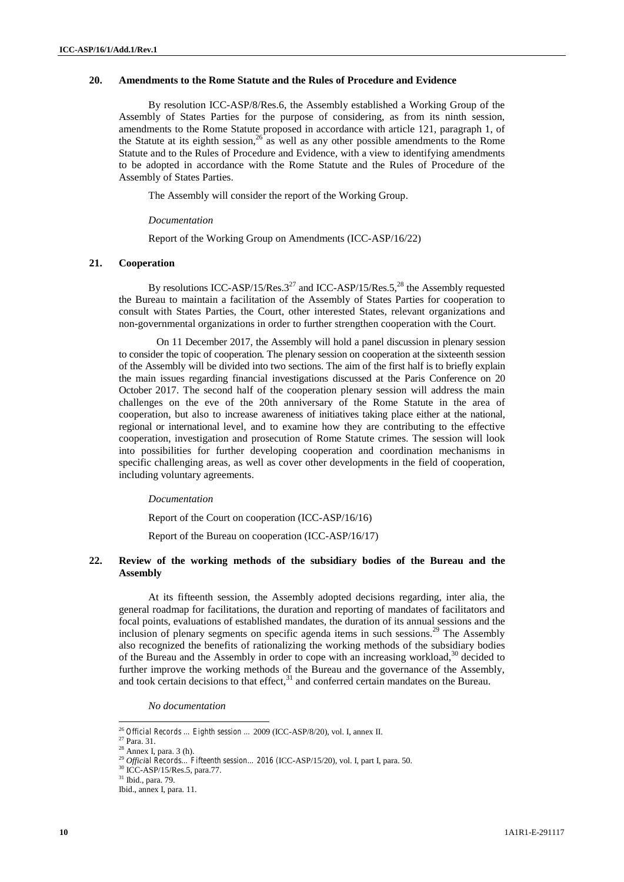# **20. Amendments to the Rome Statute and the Rules of Procedure and Evidence**

By resolution ICC-ASP/8/Res.6, the Assembly established a Working Group of the Assembly of States Parties for the purpose of considering, as from its ninth session, amendments to the Rome Statute proposed in accordance with article 121, paragraph 1, of the Statute at its eighth session,  $26$  as well as any other possible amendments to the Rome Statute and to the Rules of Procedure and Evidence, with a view to identifying amendments to be adopted in accordance with the Rome Statute and the Rules of Procedure of the Assembly of States Parties.

The Assembly will consider the report of the Working Group.

## *Documentation*

Report of the Working Group on Amendments (ICC-ASP/16/22)

# **21. Cooperation**

By resolutions ICC-ASP/15/Res. $3^{27}$  and ICC-ASP/15/Res.5,<sup>28</sup> the Assembly requested the Bureau to maintain a facilitation of the Assembly of States Parties for cooperation to consult with States Parties, the Court, other interested States, relevant organizations and non-governmental organizations in order to further strengthen cooperation with the Court.

On 11 December 2017, the Assembly will hold a panel discussion in plenary session to consider the topic of cooperation*.* The plenary session on cooperation at the sixteenth session of the Assembly will be divided into two sections. The aim of the first half is to briefly explain the main issues regarding financial investigations discussed at the Paris Conference on 20 October 2017. The second half of the cooperation plenary session will address the main challenges on the eve of the 20th anniversary of the Rome Statute in the area of cooperation, but also to increase awareness of initiatives taking place either at the national, regional or international level, and to examine how they are contributing to the effective cooperation, investigation and prosecution of Rome Statute crimes. The session will look into possibilities for further developing cooperation and coordination mechanisms in specific challenging areas, as well as cover other developments in the field of cooperation, including voluntary agreements.

## *Documentation*

Report of the Court on cooperation (ICC-ASP/16/16)

Report of the Bureau on cooperation (ICC-ASP/16/17)

# **22. Review of the working methods of the subsidiary bodies of the Bureau and the Assembly**

At its fifteenth session, the Assembly adopted decisions regarding, inter alia, the general roadmap for facilitations, the duration and reporting of mandates of facilitators and focal points, evaluations of established mandates, the duration of its annual sessions and the inclusion of plenary segments on specific agenda items in such sessions.<sup>29</sup> The Assembly also recognized the benefits of rationalizing the working methods of the subsidiary bodies of the Bureau and the Assembly in order to cope with an increasing workload,<sup>30</sup> decided to further improve the working methods of the Bureau and the governance of the Assembly, and took certain decisions to that effect, $31$  and conferred certain mandates on the Bureau.

*No documentation*

 $^{26}$   ${\it Official Records}$   $...$   ${\it Eighth}$   ${\it session}$   $...$   $2009$  (ICC-ASP/8/20), vol. I, annex II.  $^{27}$  Para. 31.

<sup>28</sup> Annex I, para. 3 (h).

<sup>29</sup> *Official Records… Fifteenth session… 2016 (*ICC-ASP/15/20), vol. I, part I, para. 50. <sup>30</sup> ICC-ASP/15/Res.5, para.77.

<sup>31</sup> Ibid., para. 79.

Ibid., annex I, para. 11.